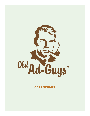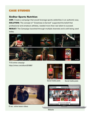#### SixStar Sports Nutrition

ASK: Create a campaign that would leverage sports celebrities in an authentic way. SOLUTION: The concept of "Greatness is Earned" supported the belief that professional and amateurs athletes, needed more than raw talent to succeed. RESULT: The Campaign launched through multiple channels and is still being used today.



TV & online campaign https://vimeo.com/album/5316857





Social media posts

Social media posts



15 sec. online teaser videos



**Website**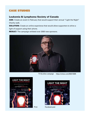#### Leukemia & Lymphoma Society of Canada

ASK: Create an event in February that would support their annual "Light the Night" Charity walk.

**SOLUTION:** Create an online experience that would allow supporters to shine a light of support using their phone.

RESULT: The campaign enlisted over 2000 new sponsors.



TV & online campaign https://vimeo.com/202212835



**LIGHT THE NIGHT** Join us on World Cancer Day, Feb. 4 LightTheNight4

Print Facebook post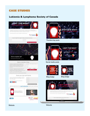#### Lukiemia & Lymphoma Society of Canada





Thunderclap posts



Social media posts





Blog badge

Blog badge

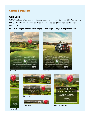#### Golf Link

ASK: Create an integrated membership campaign support Golf links 20th Anniversary. **SOLUTION:** Using a familiar celebratory icon (a balloon) I incerted it onto a golf corse landscape.

RESULT: A highly impactful and engaging campaign through multiple mediums.











#### Mobile ad **Big Box digital ad**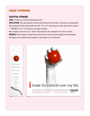#### SCOTIA ITRADE

ASK: Create an online brokerage brand **SOLUTION:** We developed a brand that allowed the trader to become empowered. We positioned the brand with the line "for me" allowing the logo and call to action - "i TRADE for me" to become a single thought. We created a brand icon a "ball" that became the metaphor for their control.

**RESULT:** We created a distinctive brand and voice that leveraged its Scotiabank heritage and created brand assets to leverage in all mediums.

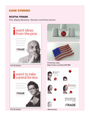#### SCOTIA ITRADE

*Print, Display Marketing , Television and Online banners*





Print & Outdoor News York Web banners



https://vimeo.com/album/5317882 Print & Outdoor TV & Online video

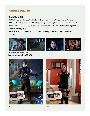## SCENE Card

ASK: Relaunch the SCENE CARD partnership between Cineplex and Scotiabank. **SOLUTION:** We relaunched the brand by positioning the card as an exclusive offer dedicated to those who love film. The foundation of the brand came through the line "Movie lovers get it."

RESULT: We created the most successful joint partnership program in Scotiabank history.



https://vimeo.com/album/5317826 TV, cinema and online video





Print Print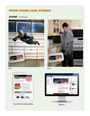## Peter Cooke Case studies

## **SCENE** - Continued





#### Print



Email & Facebook templates

Print

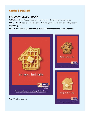## SAFEWAY SELECT BANK

ASK: Launch mortgage banking services within the grocery environment. SOLUTION: Create a brand dialogue that merged financial services with grocery appetite appeal.

RESULT: Exceeded the goal of \$10 million in funds managed withn 6 months.

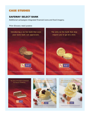## SAFEWAY SELECT BANK

Additional campaigns integrated financial icons and food imagery.

#### *Print /Grocery retail posters*